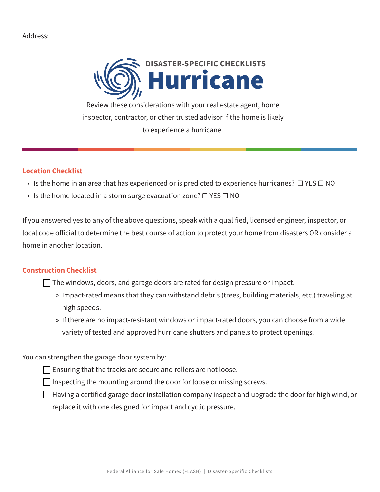

Review these considerations with your real estate agent, home inspector, contractor, or other trusted advisor if the home is likely to experience a hurricane.

## **Location Checklist**

- Is the home in an area that has experienced or is predicted to experience hurricanes?  $\Box$  YES  $\Box$  NO
- Is the home located in a storm surge evacuation zone?  $\Box$  YES  $\Box$  NO

If you answered yes to any of the above questions, speak with a qualified, licensed engineer, inspector, or local code official to determine the best course of action to protect your home from disasters OR consider a home in another location.

## **Construction Checklist**

 $\Box$  The windows, doors, and garage doors are rated for design pressure or impact.

- » Impact-rated means that they can withstand debris (trees, building materials, etc.) traveling at high speeds.
- » If there are no impact-resistant windows or impact-rated doors, you can choose from a wide variety of tested and approved hurricane shutters and panels to protect openings.

You can strengthen the garage door system by:

 $\Box$  Ensuring that the tracks are secure and rollers are not loose.

 $\Box$  Inspecting the mounting around the door for loose or missing screws.

 $\Box$  Having a certified garage door installation company inspect and upgrade the door for high wind, or replace it with one designed for impact and cyclic pressure.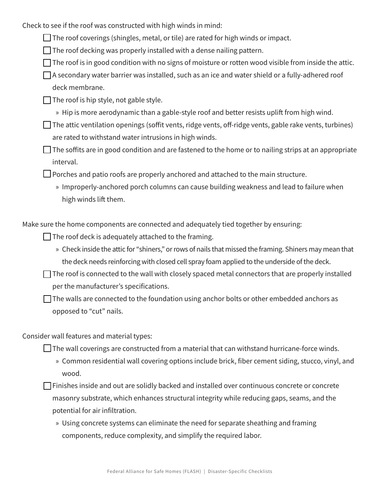Check to see if the roof was constructed with high winds in mind:

- $\Box$  The roof coverings (shingles, metal, or tile) are rated for high winds or impact.
- $\Box$  The roof decking was properly installed with a dense nailing pattern.
- $\Box$  The roof is in good condition with no signs of moisture or rotten wood visible from inside the attic.
- $\Box$  A secondary water barrier was installed, such as an ice and water shield or a fully-adhered roof deck membrane.
- $\Box$  The roof is hip style, not gable style.
	- » Hip is more aerodynamic than a gable-style roof and better resists uplift from high wind.
- $\Box$  The attic ventilation openings (soffit vents, ridge vents, off-ridge vents, gable rake vents, turbines) are rated to withstand water intrusions in high winds.
- $\Box$  The soffits are in good condition and are fastened to the home or to nailing strips at an appropriate interval.

 $\Box$  Porches and patio roofs are properly anchored and attached to the main structure.

» Improperly-anchored porch columns can cause building weakness and lead to failure when high winds lift them.

Make sure the home components are connected and adequately tied together by ensuring:

 $\Box$  The roof deck is adequately attached to the framing.

- » Check inside the attic for "shiners," or rows of nails that missed the framing. Shiners may mean that the deck needs reinforcing with closed cell spray foam applied to the underside of the deck.
- $\Box$  The roof is connected to the wall with closely spaced metal connectors that are properly installed per the manufacturer's specifications.

 $\Box$  The walls are connected to the foundation using anchor bolts or other embedded anchors as opposed to "cut" nails.

Consider wall features and material types:

 $\Box$  The wall coverings are constructed from a material that can withstand hurricane-force winds.

» Common residential wall covering options include brick, fiber cement siding, stucco, vinyl, and wood.

 $\Box$  Finishes inside and out are solidly backed and installed over continuous concrete or concrete masonry substrate, which enhances structural integrity while reducing gaps, seams, and the potential for air infiltration.

» Using concrete systems can eliminate the need for separate sheathing and framing components, reduce complexity, and simplify the required labor.